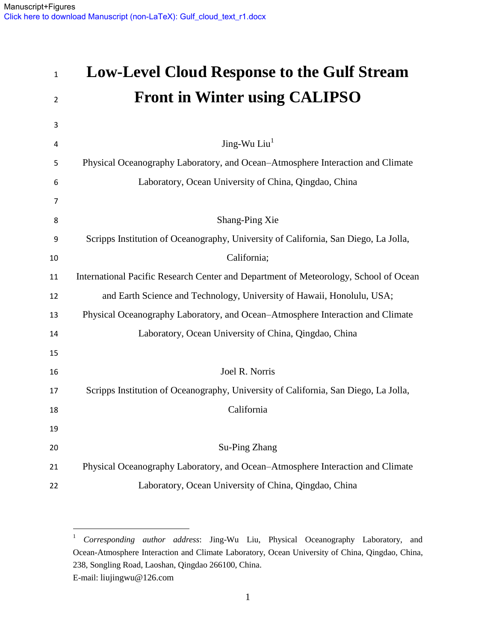$\overline{a}$ 

# **Low-Level Cloud Response to the Gulf Stream Front in Winter using CALIPSO** Jing-Wu  $Liu<sup>1</sup>$  Physical Oceanography Laboratory, and Ocean–Atmosphere Interaction and Climate Laboratory, Ocean University of China, Qingdao, China Shang-Ping Xie Scripps Institution of Oceanography, University of California, San Diego, La Jolla, California; International Pacific Research Center and Department of Meteorology, School of Ocean and Earth Science and Technology, University of Hawaii, Honolulu, USA; Physical Oceanography Laboratory, and Ocean–Atmosphere Interaction and Climate Laboratory, Ocean University of China, Qingdao, China Joel R. Norris Scripps Institution of Oceanography, University of California, San Diego, La Jolla, California Su-Ping Zhang Physical Oceanography Laboratory, and Ocean–Atmosphere Interaction and Climate Laboratory, Ocean University of China, Qingdao, China

 *Corresponding author address*: Jing-Wu Liu, Physical Oceanography Laboratory, and Ocean-Atmosphere Interaction and Climate Laboratory, Ocean University of China, Qingdao, China, 238, Songling Road, Laoshan, Qingdao 266100, China. E-mail: liujingwu@126.com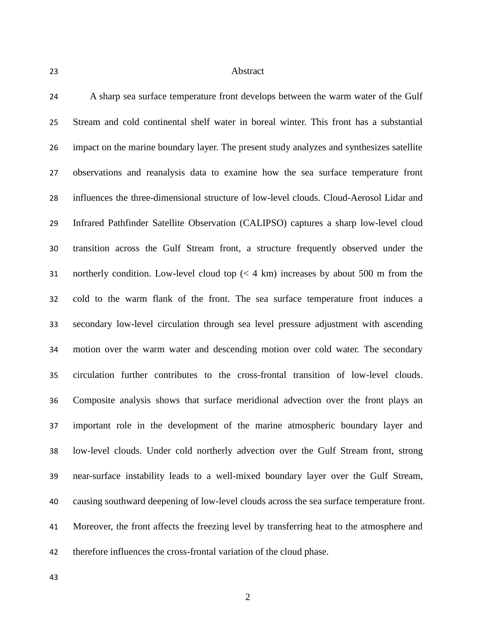#### Abstract

 A sharp sea surface temperature front develops between the warm water of the Gulf Stream and cold continental shelf water in boreal winter. This front has a substantial impact on the marine boundary layer. The present study analyzes and synthesizes satellite observations and reanalysis data to examine how the sea surface temperature front influences the three-dimensional structure of low-level clouds. Cloud-Aerosol Lidar and Infrared Pathfinder Satellite Observation (CALIPSO) captures a sharp low-level cloud transition across the Gulf Stream front, a structure frequently observed under the northerly condition. Low-level cloud top (< 4 km) increases by about 500 m from the cold to the warm flank of the front. The sea surface temperature front induces a secondary low-level circulation through sea level pressure adjustment with ascending motion over the warm water and descending motion over cold water. The secondary circulation further contributes to the cross-frontal transition of low-level clouds. Composite analysis shows that surface meridional advection over the front plays an important role in the development of the marine atmospheric boundary layer and low-level clouds. Under cold northerly advection over the Gulf Stream front, strong near-surface instability leads to a well-mixed boundary layer over the Gulf Stream, causing southward deepening of low-level clouds across the sea surface temperature front. Moreover, the front affects the freezing level by transferring heat to the atmosphere and therefore influences the cross-frontal variation of the cloud phase.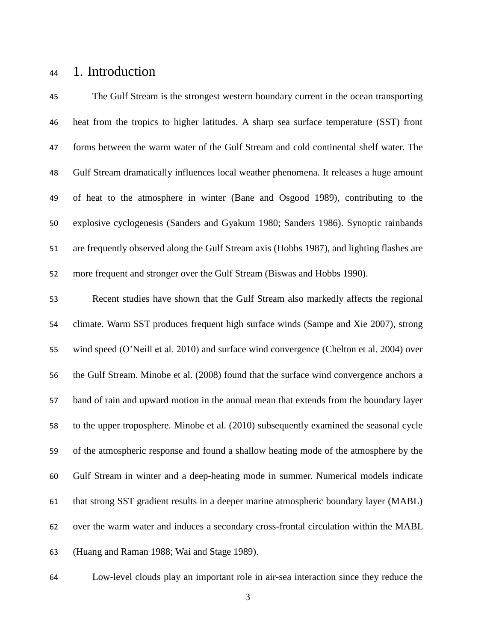### 1. Introduction

 The Gulf Stream is the strongest western boundary current in the ocean transporting heat from the tropics to higher latitudes. A sharp sea surface temperature (SST) front forms between the warm water of the Gulf Stream and cold continental shelf water. The Gulf Stream dramatically influences local weather phenomena. It releases a huge amount of heat to the atmosphere in winter (Bane and Osgood 1989), contributing to the explosive cyclogenesis (Sanders and Gyakum 1980; Sanders 1986). Synoptic rainbands are frequently observed along the Gulf Stream axis (Hobbs 1987), and lighting flashes are more frequent and stronger over the Gulf Stream (Biswas and Hobbs 1990).

 Recent studies have shown that the Gulf Stream also markedly affects the regional climate. Warm SST produces frequent high surface winds (Sampe and Xie 2007), strong wind speed (O'Neill et al. 2010) and surface wind convergence (Chelton et al. 2004) over the Gulf Stream. Minobe et al. (2008) found that the surface wind convergence anchors a band of rain and upward motion in the annual mean that extends from the boundary layer to the upper troposphere. Minobe et al. (2010) subsequently examined the seasonal cycle of the atmospheric response and found a shallow heating mode of the atmosphere by the Gulf Stream in winter and a deep-heating mode in summer. Numerical models indicate that strong SST gradient results in a deeper marine atmospheric boundary layer (MABL) over the warm water and induces a secondary cross-frontal circulation within the MABL (Huang and Raman 1988; Wai and Stage 1989).

Low-level clouds play an important role in air-sea interaction since they reduce the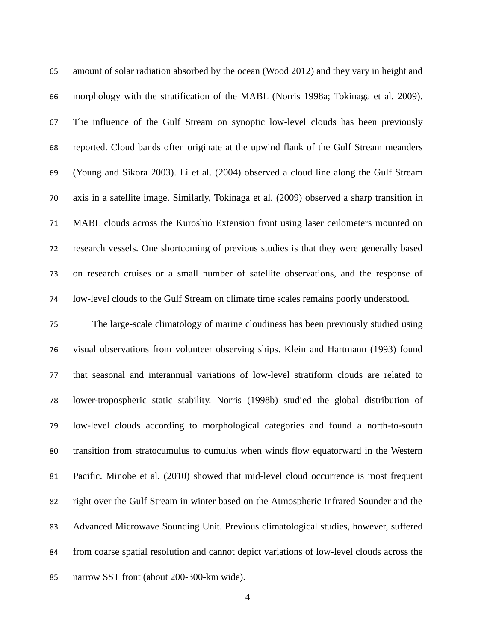amount of solar radiation absorbed by the ocean (Wood 2012) and they vary in height and morphology with the stratification of the MABL (Norris 1998a; Tokinaga et al. 2009). The influence of the Gulf Stream on synoptic low-level clouds has been previously reported. Cloud bands often originate at the upwind flank of the Gulf Stream meanders (Young and Sikora 2003). Li et al. (2004) observed a cloud line along the Gulf Stream axis in a satellite image. Similarly, Tokinaga et al. (2009) observed a sharp transition in MABL clouds across the Kuroshio Extension front using laser ceilometers mounted on research vessels. One shortcoming of previous studies is that they were generally based on research cruises or a small number of satellite observations, and the response of low-level clouds to the Gulf Stream on climate time scales remains poorly understood.

 The large-scale climatology of marine cloudiness has been previously studied using visual observations from volunteer observing ships. Klein and Hartmann (1993) found that seasonal and interannual variations of low-level stratiform clouds are related to lower-tropospheric static stability. Norris (1998b) studied the global distribution of low-level clouds according to morphological categories and found a north-to-south transition from stratocumulus to cumulus when winds flow equatorward in the Western Pacific. Minobe et al. (2010) showed that mid-level cloud occurrence is most frequent right over the Gulf Stream in winter based on the Atmospheric Infrared Sounder and the Advanced Microwave Sounding Unit. Previous climatological studies, however, suffered from coarse spatial resolution and cannot depict variations of low-level clouds across the narrow SST front (about 200-300-km wide).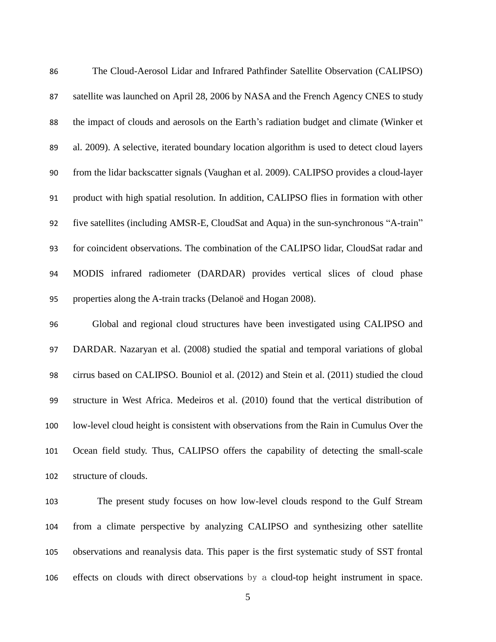| 86  | The Cloud-Aerosol Lidar and Infrared Pathfinder Satellite Observation (CALIPSO)             |
|-----|---------------------------------------------------------------------------------------------|
| 87  | satellite was launched on April 28, 2006 by NASA and the French Agency CNES to study        |
| 88  | the impact of clouds and aerosols on the Earth's radiation budget and climate (Winker et    |
| 89  | al. 2009). A selective, iterated boundary location algorithm is used to detect cloud layers |
| 90  | from the lidar backscatter signals (Vaughan et al. 2009). CALIPSO provides a cloud-layer    |
| 91  | product with high spatial resolution. In addition, CALIPSO flies in formation with other    |
| 92  | five satellites (including AMSR-E, CloudSat and Aqua) in the sun-synchronous "A-train"      |
| 93  | for coincident observations. The combination of the CALIPSO lidar, CloudSat radar and       |
| 94  | MODIS infrared radiometer (DARDAR) provides vertical slices of cloud phase                  |
| 95  | properties along the A-train tracks (Delanoë and Hogan 2008).                               |
| 96  | Global and regional cloud structures have been investigated using CALIPSO and               |
| 97  | DARDAR. Nazaryan et al. (2008) studied the spatial and temporal variations of global        |
| 98  | cirrus based on CALIPSO. Bouniol et al. (2012) and Stein et al. (2011) studied the cloud    |
| 99  | structure in West Africa. Medeiros et al. (2010) found that the vertical distribution of    |
| 100 | low-level cloud height is consistent with observations from the Rain in Cumulus Over the    |
| 101 | Ocean field study. Thus, CALIPSO offers the capability of detecting the small-scale         |
| 102 | structure of clouds.                                                                        |
|     |                                                                                             |

 The present study focuses on how low-level clouds respond to the Gulf Stream from a climate perspective by analyzing CALIPSO and synthesizing other satellite observations and reanalysis data. This paper is the first systematic study of SST frontal effects on clouds with direct observations by a cloud-top height instrument in space.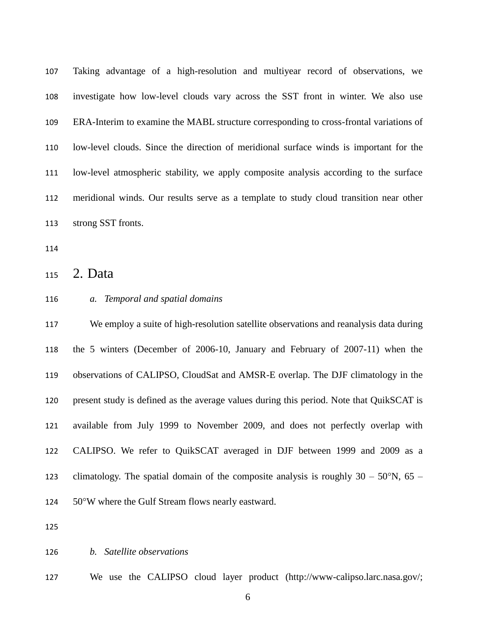Taking advantage of a high-resolution and multiyear record of observations, we investigate how low-level clouds vary across the SST front in winter. We also use ERA-Interim to examine the MABL structure corresponding to cross-frontal variations of low-level clouds. Since the direction of meridional surface winds is important for the low-level atmospheric stability, we apply composite analysis according to the surface meridional winds. Our results serve as a template to study cloud transition near other strong SST fronts.

2. Data

### *a. Temporal and spatial domains*

 We employ a suite of high-resolution satellite observations and reanalysis data during the 5 winters (December of 2006-10, January and February of 2007-11) when the observations of CALIPSO, CloudSat and AMSR-E overlap. The DJF climatology in the present study is defined as the average values during this period. Note that QuikSCAT is available from July 1999 to November 2009, and does not perfectly overlap with CALIPSO. We refer to QuikSCAT averaged in DJF between 1999 and 2009 as a 123 climatology. The spatial domain of the composite analysis is roughly  $30 - 50^{\circ}$ N,  $65 -$ 124 50°W where the Gulf Stream flows nearly eastward.

#### *b. Satellite observations*

We use the CALIPSO cloud layer product [\(http://www-calipso.larc.nasa.gov/;](http://www-calipso.larc.nasa.gov/)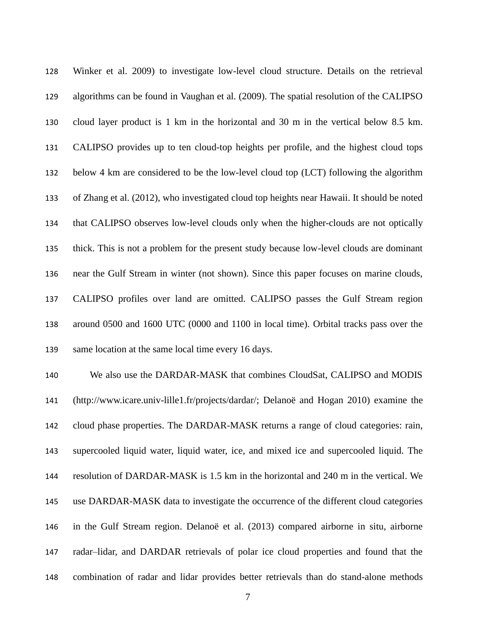Winker et al. 2009) to investigate low-level cloud structure. Details on the retrieval algorithms can be found in Vaughan et al. (2009). The spatial resolution of the CALIPSO cloud layer product is 1 km in the horizontal and 30 m in the vertical below 8.5 km. CALIPSO provides up to ten cloud-top heights per profile, and the highest cloud tops below 4 km are considered to be the low-level cloud top (LCT) following the algorithm of Zhang et al. (2012), who investigated cloud top heights near Hawaii. It should be noted that CALIPSO observes low-level clouds only when the higher-clouds are not optically thick. This is not a problem for the present study because low-level clouds are dominant near the Gulf Stream in winter (not shown). Since this paper focuses on marine clouds, CALIPSO profiles over land are omitted. CALIPSO passes the Gulf Stream region around 0500 and 1600 UTC (0000 and 1100 in local time). Orbital tracks pass over the 139 same location at the same local time every 16 days.

 We also use the DARDAR-MASK that combines CloudSat, CALIPSO and MODIS [\(http://www.icare.univ-lille1.fr/projects/dardar/;](http://www.icare.univ-lille1.fr/projects/dardar/) Delanoë and Hogan 2010) examine the cloud phase properties. The DARDAR-MASK returns a range of cloud categories: rain, supercooled liquid water, liquid water, ice, and mixed ice and supercooled liquid. The resolution of DARDAR-MASK is 1.5 km in the horizontal and 240 m in the vertical. We use DARDAR-MASK data to investigate the occurrence of the different cloud categories in the Gulf Stream region. Delanoë et al. (2013) compared airborne in situ, airborne radar–lidar, and DARDAR retrievals of polar ice cloud properties and found that the combination of radar and lidar provides better retrievals than do stand-alone methods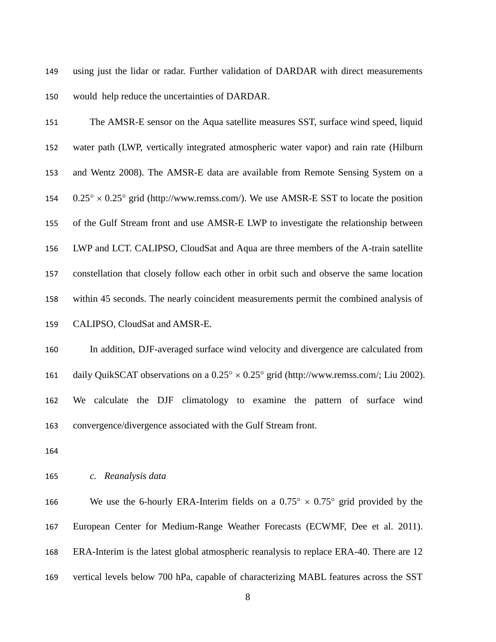using just the lidar or radar. Further validation of DARDAR with direct measurements would help reduce the uncertainties of DARDAR.

 The AMSR-E sensor on the Aqua satellite measures SST, surface wind speed, liquid water path (LWP, vertically integrated atmospheric water vapor) and rain rate (Hilburn and Wentz 2008). The AMSR-E data are available from Remote Sensing System on a  $0.25^{\circ} \times 0.25^{\circ}$  grid [\(http://www.remss.com/\)](http://www.remss.com/). We use AMSR-E SST to locate the position of the Gulf Stream front and use AMSR-E LWP to investigate the relationship between LWP and LCT. CALIPSO, CloudSat and Aqua are three members of the A-train satellite constellation that closely follow each other in orbit such and observe the same location within 45 seconds. The nearly coincident measurements permit the combined analysis of CALIPSO, CloudSat and AMSR-E.

 In addition, DJF-averaged surface wind velocity and divergence are calculated from 161 daily QuikSCAT observations on a  $0.25^{\circ} \times 0.25^{\circ}$  grid [\(http://www.remss.com/;](http://www.remss.com/) Liu 2002). We calculate the DJF climatology to examine the pattern of surface wind convergence/divergence associated with the Gulf Stream front.

### *c. Reanalysis data*

166 We use the 6-hourly ERA-Interim fields on a  $0.75^{\circ} \times 0.75^{\circ}$  grid provided by the European Center for Medium-Range Weather Forecasts (ECWMF, Dee et al. 2011). ERA-Interim is the latest global atmospheric reanalysis to replace ERA-40. There are 12 vertical levels below 700 hPa, capable of characterizing MABL features across the SST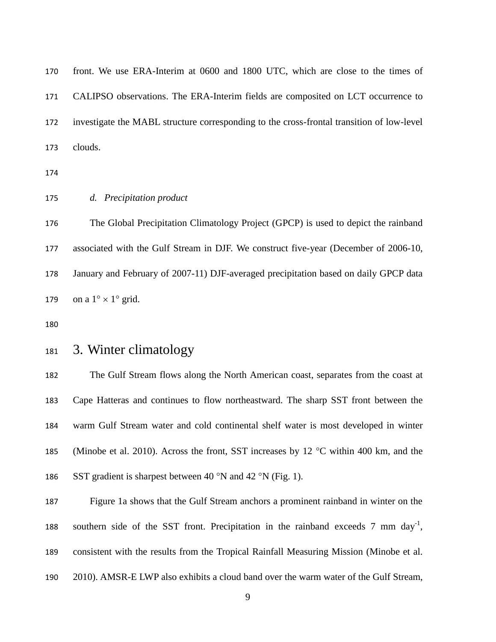| 170 | front. We use ERA-Interim at 0600 and 1800 UTC, which are close to the times of                 |
|-----|-------------------------------------------------------------------------------------------------|
| 171 | CALIPSO observations. The ERA-Interim fields are composited on LCT occurrence to                |
| 172 | investigate the MABL structure corresponding to the cross-frontal transition of low-level       |
| 173 | clouds.                                                                                         |
| 174 |                                                                                                 |
| 175 | d. Precipitation product                                                                        |
| 176 | The Global Precipitation Climatology Project (GPCP) is used to depict the rainband              |
| 177 | associated with the Gulf Stream in DJF. We construct five-year (December of 2006-10,            |
| 178 | January and February of 2007-11) DJF-averaged precipitation based on daily GPCP data            |
| 179 | on a $1^{\circ} \times 1^{\circ}$ grid.                                                         |
| 180 |                                                                                                 |
| 181 | 3. Winter climatology                                                                           |
| 182 | The Gulf Stream flows along the North American coast, separates from the coast at               |
| 183 | Cape Hatteras and continues to flow northeastward. The sharp SST front between the              |
| 184 | warm Gulf Stream water and cold continental shelf water is most developed in winter             |
| 185 | (Minobe et al. 2010). Across the front, SST increases by 12 $^{\circ}$ C within 400 km, and the |
| 186 | SST gradient is sharpest between 40 $\degree$ N and 42 $\degree$ N (Fig. 1).                    |
| 187 | Figure 1a shows that the Gulf Stream anchors a prominent rainband in winter on the              |
| 188 | southern side of the SST front. Precipitation in the rainband exceeds 7 mm day <sup>-1</sup> ,  |
| 189 | consistent with the results from the Tropical Rainfall Measuring Mission (Minobe et al.         |
| 190 | 2010). AMSR-E LWP also exhibits a cloud band over the warm water of the Gulf Stream,            |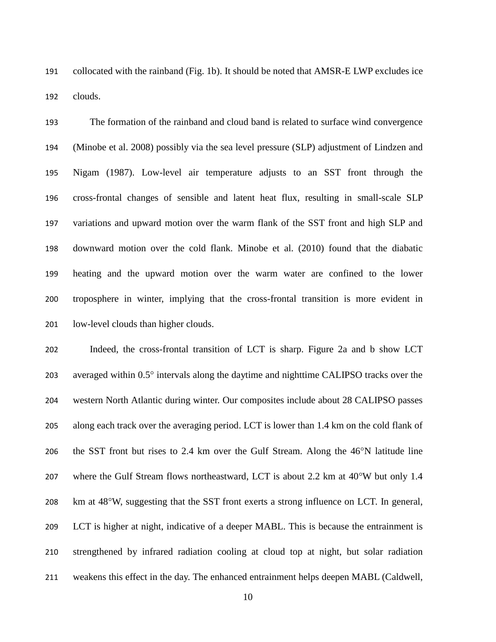collocated with the rainband (Fig. 1b). It should be noted that AMSR-E LWP excludes ice clouds.

 The formation of the rainband and cloud band is related to surface wind convergence (Minobe et al. 2008) possibly via the sea level pressure (SLP) adjustment of Lindzen and Nigam (1987). Low-level air temperature adjusts to an SST front through the cross-frontal changes of sensible and latent heat flux, resulting in small-scale SLP variations and upward motion over the warm flank of the SST front and high SLP and downward motion over the cold flank. Minobe et al. (2010) found that the diabatic heating and the upward motion over the warm water are confined to the lower troposphere in winter, implying that the cross-frontal transition is more evident in low-level clouds than higher clouds.

 Indeed, the cross-frontal transition of LCT is sharp. Figure 2a and b show LCT 203 averaged within  $0.5^\circ$  intervals along the daytime and nighttime CALIPSO tracks over the western North Atlantic during winter. Our composites include about 28 CALIPSO passes along each track over the averaging period. LCT is lower than 1.4 km on the cold flank of 206 the SST front but rises to 2.4 km over the Gulf Stream. Along the  $46^{\circ}$ N latitude line 207 where the Gulf Stream flows northeastward, LCT is about 2.2 km at 40°W but only 1.4 208 km at 48°W, suggesting that the SST front exerts a strong influence on LCT. In general, LCT is higher at night, indicative of a deeper MABL. This is because the entrainment is strengthened by infrared radiation cooling at cloud top at night, but solar radiation weakens this effect in the day. The enhanced entrainment helps deepen MABL (Caldwell,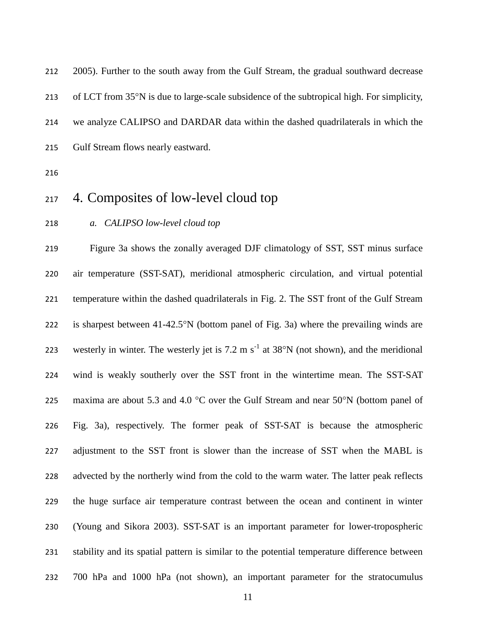2005). Further to the south away from the Gulf Stream, the gradual southward decrease 213 of LCT from  $35^{\circ}$ N is due to large-scale subsidence of the subtropical high. For simplicity, we analyze CALIPSO and DARDAR data within the dashed quadrilaterals in which the Gulf Stream flows nearly eastward.

## 4. Composites of low-level cloud top

*a. CALIPSO low-level cloud top*

 Figure 3a shows the zonally averaged DJF climatology of SST, SST minus surface air temperature (SST-SAT), meridional atmospheric circulation, and virtual potential temperature within the dashed quadrilaterals in Fig. 2. The SST front of the Gulf Stream 222 is sharpest between  $41-42.5^{\circ}N$  (bottom panel of Fig. 3a) where the prevailing winds are 223 westerly in winter. The westerly jet is 7.2 m  $s^{-1}$  at 38°N (not shown), and the meridional wind is weakly southerly over the SST front in the wintertime mean. The SST-SAT 225 maxima are about 5.3 and 4.0  $^{\circ}$ C over the Gulf Stream and near 50 $^{\circ}$ N (bottom panel of Fig. 3a), respectively. The former peak of SST-SAT is because the atmospheric adjustment to the SST front is slower than the increase of SST when the MABL is advected by the northerly wind from the cold to the warm water. The latter peak reflects the huge surface air temperature contrast between the ocean and continent in winter (Young and Sikora 2003). SST-SAT is an important parameter for lower-tropospheric stability and its spatial pattern is similar to the potential temperature difference between 700 hPa and 1000 hPa (not shown), an important parameter for the stratocumulus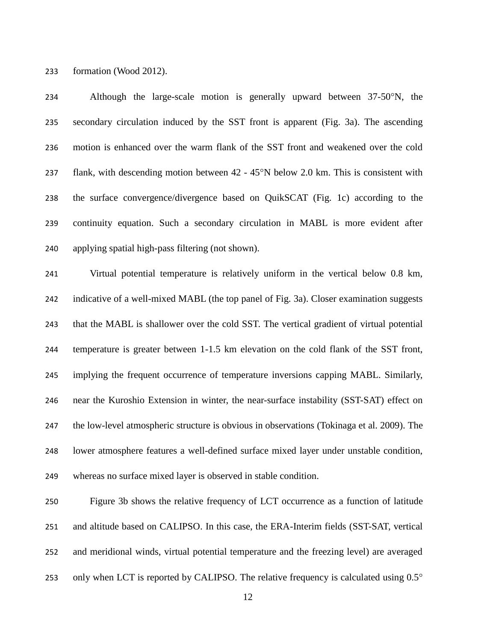formation (Wood 2012).

234 Although the large-scale motion is generally upward between  $37-50^{\circ}N$ , the secondary circulation induced by the SST front is apparent (Fig. 3a). The ascending motion is enhanced over the warm flank of the SST front and weakened over the cold 237 flank, with descending motion between  $42 - 45^\circ N$  below 2.0 km. This is consistent with the surface convergence/divergence based on QuikSCAT (Fig. 1c) according to the continuity equation. Such a secondary circulation in MABL is more evident after applying spatial high-pass filtering (not shown). Virtual potential temperature is relatively uniform in the vertical below 0.8 km, indicative of a well-mixed MABL (the top panel of Fig. 3a). Closer examination suggests that the MABL is shallower over the cold SST. The vertical gradient of virtual potential temperature is greater between 1-1.5 km elevation on the cold flank of the SST front, implying the frequent occurrence of temperature inversions capping MABL. Similarly, near the Kuroshio Extension in winter, the near-surface instability (SST-SAT) effect on the low-level atmospheric structure is obvious in observations (Tokinaga et al. 2009). The lower atmosphere features a well-defined surface mixed layer under unstable condition, whereas no surface mixed layer is observed in stable condition. Figure 3b shows the relative frequency of LCT occurrence as a function of latitude

 and altitude based on CALIPSO. In this case, the ERA-Interim fields (SST-SAT, vertical and meridional winds, virtual potential temperature and the freezing level) are averaged 253 only when LCT is reported by CALIPSO. The relative frequency is calculated using 0.5°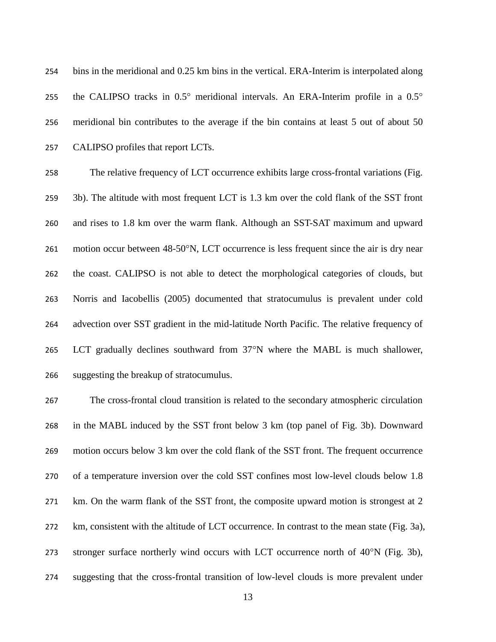bins in the meridional and 0.25 km bins in the vertical. ERA-Interim is interpolated along 255 the CALIPSO tracks in  $0.5^{\circ}$  meridional intervals. An ERA-Interim profile in a  $0.5^{\circ}$  meridional bin contributes to the average if the bin contains at least 5 out of about 50 CALIPSO profiles that report LCTs.

 The relative frequency of LCT occurrence exhibits large cross-frontal variations (Fig. 3b). The altitude with most frequent LCT is 1.3 km over the cold flank of the SST front and rises to 1.8 km over the warm flank. Although an SST-SAT maximum and upward 261 motion occur between 48-50°N, LCT occurrence is less frequent since the air is dry near the coast. CALIPSO is not able to detect the morphological categories of clouds, but Norris and Iacobellis (2005) documented that stratocumulus is prevalent under cold advection over SST gradient in the mid-latitude North Pacific. The relative frequency of 265 LCT gradually declines southward from  $37^{\circ}$ N where the MABL is much shallower, suggesting the breakup of stratocumulus.

 The cross-frontal cloud transition is related to the secondary atmospheric circulation in the MABL induced by the SST front below 3 km (top panel of Fig. 3b). Downward motion occurs below 3 km over the cold flank of the SST front. The frequent occurrence of a temperature inversion over the cold SST confines most low-level clouds below 1.8 km. On the warm flank of the SST front, the composite upward motion is strongest at 2 km, consistent with the altitude of LCT occurrence. In contrast to the mean state (Fig. 3a), 273 stronger surface northerly wind occurs with LCT occurrence north of  $40^{\circ}N$  (Fig. 3b), suggesting that the cross-frontal transition of low-level clouds is more prevalent under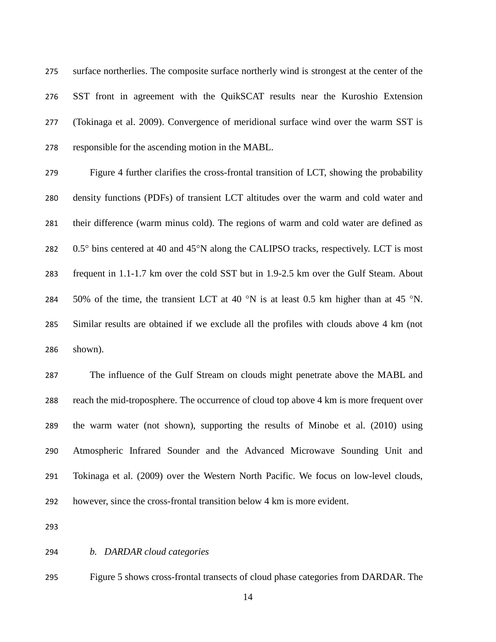surface northerlies. The composite surface northerly wind is strongest at the center of the SST front in agreement with the QuikSCAT results near the Kuroshio Extension (Tokinaga et al. 2009). Convergence of meridional surface wind over the warm SST is responsible for the ascending motion in the MABL.

 Figure 4 further clarifies the cross-frontal transition of LCT, showing the probability density functions (PDFs) of transient LCT altitudes over the warm and cold water and their difference (warm minus cold). The regions of warm and cold water are defined as  $0.5^\circ$  bins centered at 40 and 45 $^\circ$ N along the CALIPSO tracks, respectively. LCT is most frequent in 1.1-1.7 km over the cold SST but in 1.9-2.5 km over the Gulf Steam. About 284 50% of the time, the transient LCT at 40  $\degree$ N is at least 0.5 km higher than at 45  $\degree$ N. Similar results are obtained if we exclude all the profiles with clouds above 4 km (not shown).

 The influence of the Gulf Stream on clouds might penetrate above the MABL and reach the mid-troposphere. The occurrence of cloud top above 4 km is more frequent over the warm water (not shown), supporting the results of Minobe et al. (2010) using Atmospheric Infrared Sounder and the Advanced Microwave Sounding Unit and Tokinaga et al. (2009) over the Western North Pacific. We focus on low-level clouds, however, since the cross-frontal transition below 4 km is more evident.

*b. DARDAR cloud categories*

Figure 5 shows cross-frontal transects of cloud phase categories from DARDAR. The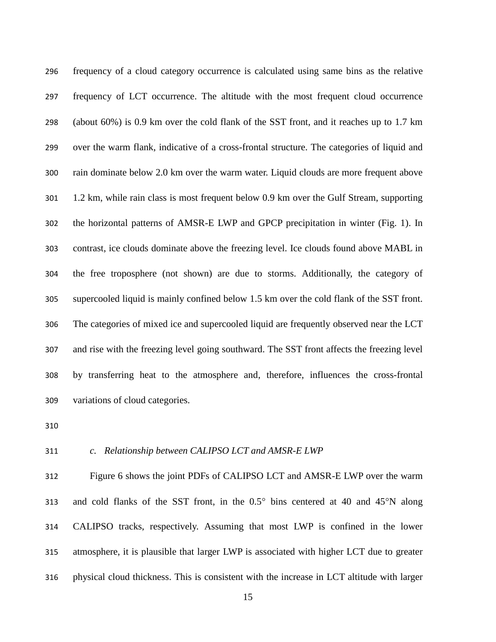frequency of a cloud category occurrence is calculated using same bins as the relative frequency of LCT occurrence. The altitude with the most frequent cloud occurrence (about 60%) is 0.9 km over the cold flank of the SST front, and it reaches up to 1.7 km over the warm flank, indicative of a cross-frontal structure. The categories of liquid and rain dominate below 2.0 km over the warm water. Liquid clouds are more frequent above 1.2 km, while rain class is most frequent below 0.9 km over the Gulf Stream, supporting the horizontal patterns of AMSR-E LWP and GPCP precipitation in winter (Fig. 1). In contrast, ice clouds dominate above the freezing level. Ice clouds found above MABL in the free troposphere (not shown) are due to storms. Additionally, the category of supercooled liquid is mainly confined below 1.5 km over the cold flank of the SST front. The categories of mixed ice and supercooled liquid are frequently observed near the LCT and rise with the freezing level going southward. The SST front affects the freezing level by transferring heat to the atmosphere and, therefore, influences the cross-frontal variations of cloud categories.

### *c. Relationship between CALIPSO LCT and AMSR-E LWP*

 Figure 6 shows the joint PDFs of CALIPSO LCT and AMSR-E LWP over the warm 313 and cold flanks of the SST front, in the  $0.5^{\circ}$  bins centered at 40 and 45 $^{\circ}$ N along CALIPSO tracks, respectively. Assuming that most LWP is confined in the lower atmosphere, it is plausible that larger LWP is associated with higher LCT due to greater physical cloud thickness. This is consistent with the increase in LCT altitude with larger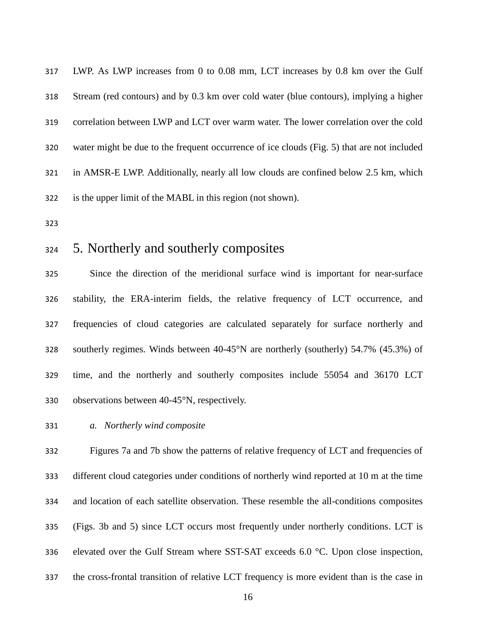LWP. As LWP increases from 0 to 0.08 mm, LCT increases by 0.8 km over the Gulf Stream (red contours) and by 0.3 km over cold water (blue contours), implying a higher correlation between LWP and LCT over warm water. The lower correlation over the cold water might be due to the frequent occurrence of ice clouds (Fig. 5) that are not included in AMSR-E LWP. Additionally, nearly all low clouds are confined below 2.5 km, which is the upper limit of the MABL in this region (not shown).

## 5. Northerly and southerly composites

 Since the direction of the meridional surface wind is important for near-surface stability, the ERA-interim fields, the relative frequency of LCT occurrence, and frequencies of cloud categories are calculated separately for surface northerly and southerly regimes. Winds between 40-45°N are northerly (southerly) 54.7% (45.3%) of time, and the northerly and southerly composites include 55054 and 36170 LCT observations between 40-45°N, respectively.

*a. Northerly wind composite*

 Figures 7a and 7b show the patterns of relative frequency of LCT and frequencies of different cloud categories under conditions of northerly wind reported at 10 m at the time and location of each satellite observation. These resemble the all-conditions composites (Figs. 3b and 5) since LCT occurs most frequently under northerly conditions. LCT is elevated over the Gulf Stream where SST-SAT exceeds 6.0 °C. Upon close inspection, the cross-frontal transition of relative LCT frequency is more evident than is the case in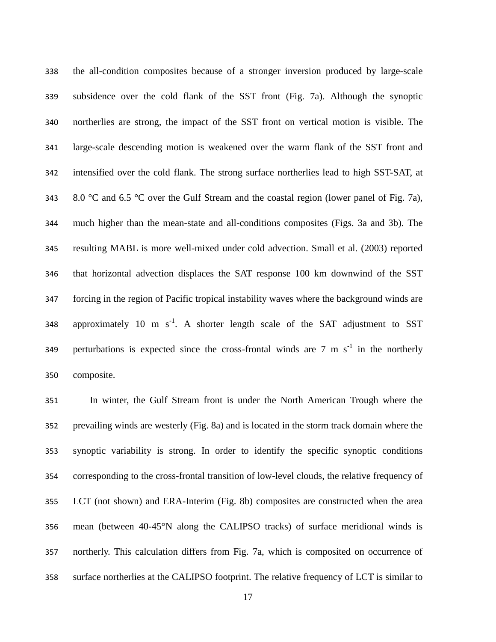the all-condition composites because of a stronger inversion produced by large-scale subsidence over the cold flank of the SST front (Fig. 7a). Although the synoptic northerlies are strong, the impact of the SST front on vertical motion is visible. The large-scale descending motion is weakened over the warm flank of the SST front and intensified over the cold flank. The strong surface northerlies lead to high SST-SAT, at 343 8.0 °C and 6.5 °C over the Gulf Stream and the coastal region (lower panel of Fig. 7a), much higher than the mean-state and all-conditions composites (Figs. 3a and 3b). The resulting MABL is more well-mixed under cold advection. Small et al. (2003) reported that horizontal advection displaces the SAT response 100 km downwind of the SST forcing in the region of Pacific tropical instability waves where the background winds are 348 approximately 10 m  $s^{-1}$ . A shorter length scale of the SAT adjustment to SST 349 perturbations is expected since the cross-frontal winds are  $7 \text{ m s}^{-1}$  in the northerly composite.

 In winter, the Gulf Stream front is under the North American Trough where the prevailing winds are westerly (Fig. 8a) and is located in the storm track domain where the synoptic variability is strong. In order to identify the specific synoptic conditions corresponding to the cross-frontal transition of low-level clouds, the relative frequency of LCT (not shown) and ERA-Interim (Fig. 8b) composites are constructed when the area mean (between 40-45°N along the CALIPSO tracks) of surface meridional winds is northerly. This calculation differs from Fig. 7a, which is composited on occurrence of surface northerlies at the CALIPSO footprint. The relative frequency of LCT is similar to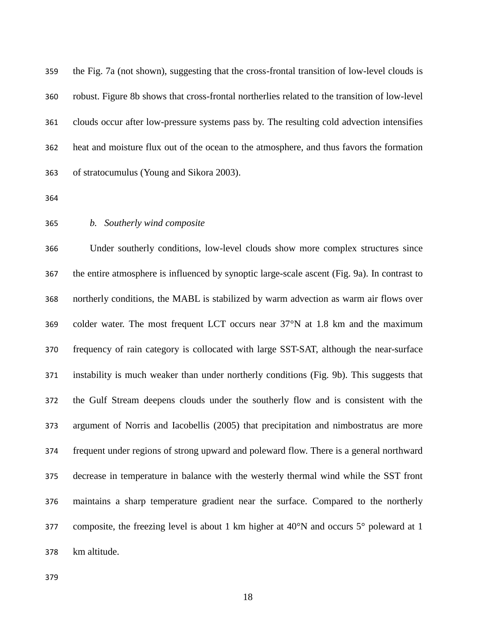the Fig. 7a (not shown), suggesting that the cross-frontal transition of low-level clouds is robust. Figure 8b shows that cross-frontal northerlies related to the transition of low-level clouds occur after low-pressure systems pass by. The resulting cold advection intensifies heat and moisture flux out of the ocean to the atmosphere, and thus favors the formation of stratocumulus (Young and Sikora 2003).

### *b. Southerly wind composite*

 Under southerly conditions, low-level clouds show more complex structures since the entire atmosphere is influenced by synoptic large-scale ascent (Fig. 9a). In contrast to northerly conditions, the MABL is stabilized by warm advection as warm air flows over colder water. The most frequent LCT occurs near 37°N at 1.8 km and the maximum frequency of rain category is collocated with large SST-SAT, although the near-surface instability is much weaker than under northerly conditions (Fig. 9b). This suggests that the Gulf Stream deepens clouds under the southerly flow and is consistent with the argument of Norris and Iacobellis (2005) that precipitation and nimbostratus are more frequent under regions of strong upward and poleward flow. There is a general northward decrease in temperature in balance with the westerly thermal wind while the SST front maintains a sharp temperature gradient near the surface. Compared to the northerly 377 composite, the freezing level is about 1 km higher at  $40^{\circ}$ N and occurs  $5^{\circ}$  poleward at 1 km altitude.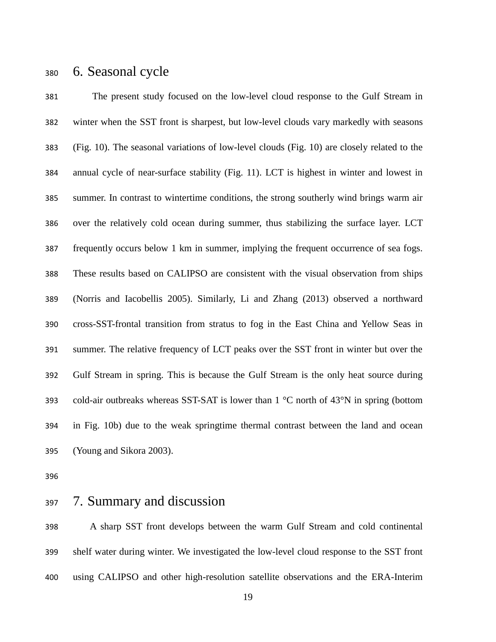### 6. Seasonal cycle

 The present study focused on the low-level cloud response to the Gulf Stream in winter when the SST front is sharpest, but low-level clouds vary markedly with seasons (Fig. 10). The seasonal variations of low-level clouds (Fig. 10) are closely related to the annual cycle of near-surface stability (Fig. 11). LCT is highest in winter and lowest in summer. In contrast to wintertime conditions, the strong southerly wind brings warm air over the relatively cold ocean during summer, thus stabilizing the surface layer. LCT frequently occurs below 1 km in summer, implying the frequent occurrence of sea fogs. These results based on CALIPSO are consistent with the visual observation from ships (Norris and Iacobellis 2005). Similarly, Li and Zhang (2013) observed a northward cross-SST-frontal transition from stratus to fog in the East China and Yellow Seas in summer. The relative frequency of LCT peaks over the SST front in winter but over the Gulf Stream in spring. This is because the Gulf Stream is the only heat source during cold-air outbreaks whereas SST-SAT is lower than 1 °C north of 43°N in spring (bottom in Fig. 10b) due to the weak springtime thermal contrast between the land and ocean (Young and Sikora 2003).

7. Summary and discussion

 A sharp SST front develops between the warm Gulf Stream and cold continental shelf water during winter. We investigated the low-level cloud response to the SST front using CALIPSO and other high-resolution satellite observations and the ERA-Interim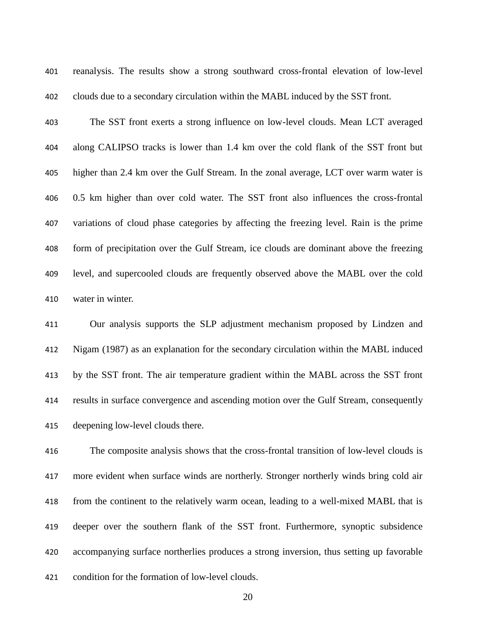reanalysis. The results show a strong southward cross-frontal elevation of low-level clouds due to a secondary circulation within the MABL induced by the SST front.

 The SST front exerts a strong influence on low-level clouds. Mean LCT averaged along CALIPSO tracks is lower than 1.4 km over the cold flank of the SST front but higher than 2.4 km over the Gulf Stream. In the zonal average, LCT over warm water is 0.5 km higher than over cold water. The SST front also influences the cross-frontal variations of cloud phase categories by affecting the freezing level. Rain is the prime form of precipitation over the Gulf Stream, ice clouds are dominant above the freezing level, and supercooled clouds are frequently observed above the MABL over the cold water in winter.

 Our analysis supports the SLP adjustment mechanism proposed by Lindzen and Nigam (1987) as an explanation for the secondary circulation within the MABL induced by the SST front. The air temperature gradient within the MABL across the SST front results in surface convergence and ascending motion over the Gulf Stream, consequently deepening low-level clouds there.

 The composite analysis shows that the cross-frontal transition of low-level clouds is more evident when surface winds are northerly. Stronger northerly winds bring cold air from the continent to the relatively warm ocean, leading to a well-mixed MABL that is deeper over the southern flank of the SST front. Furthermore, synoptic subsidence accompanying surface northerlies produces a strong inversion, thus setting up favorable condition for the formation of low-level clouds.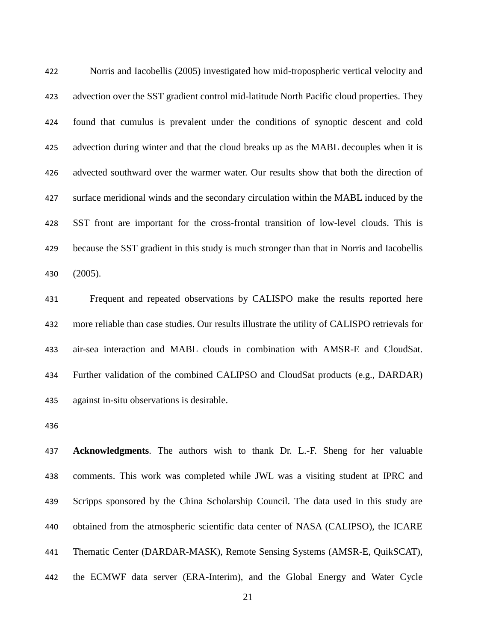Norris and Iacobellis (2005) investigated how mid-tropospheric vertical velocity and advection over the SST gradient control mid-latitude North Pacific cloud properties. They found that cumulus is prevalent under the conditions of synoptic descent and cold advection during winter and that the cloud breaks up as the MABL decouples when it is advected southward over the warmer water. Our results show that both the direction of surface meridional winds and the secondary circulation within the MABL induced by the SST front are important for the cross-frontal transition of low-level clouds. This is because the SST gradient in this study is much stronger than that in Norris and Iacobellis (2005).

 Frequent and repeated observations by CALISPO make the results reported here more reliable than case studies. Our results illustrate the utility of CALISPO retrievals for air-sea interaction and MABL clouds in combination with AMSR-E and CloudSat. Further validation of the combined CALIPSO and CloudSat products (e.g., DARDAR) against in-situ observations is desirable.

 **Acknowledgments**. The authors wish to thank Dr. L.-F. Sheng for her valuable comments. This work was completed while JWL was a visiting student at IPRC and Scripps sponsored by the China Scholarship Council. The data used in this study are obtained from the atmospheric scientific data center of NASA (CALIPSO), the ICARE Thematic Center (DARDAR-MASK), Remote Sensing Systems (AMSR-E, QuikSCAT), the ECMWF data server (ERA-Interim), and the Global Energy and Water Cycle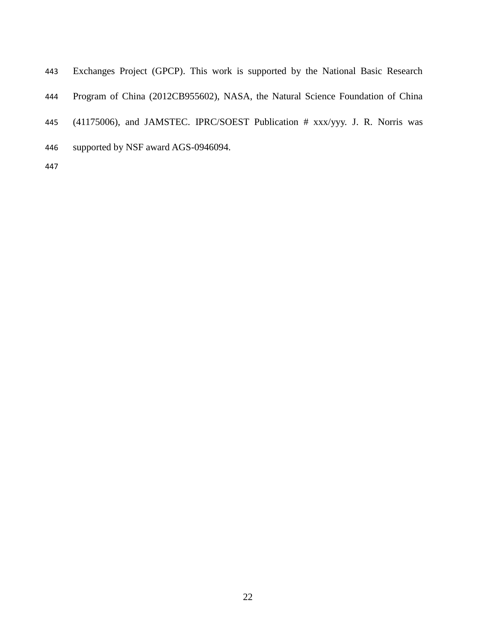| 443 | Exchanges Project (GPCP). This work is supported by the National Basic Research |
|-----|---------------------------------------------------------------------------------|
| 444 | Program of China (2012CB955602), NASA, the Natural Science Foundation of China  |
| 445 | $(41175006)$ , and JAMSTEC. IPRC/SOEST Publication # xxx/yyy. J. R. Norris was  |
| 446 | supported by NSF award AGS-0946094.                                             |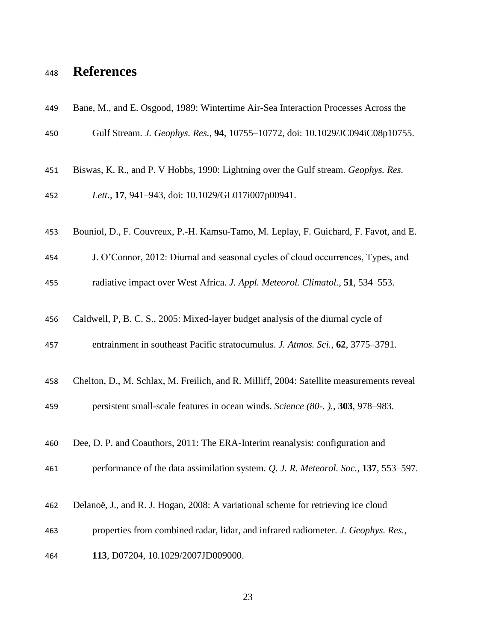# **References**

| 449 | Bane, M., and E. Osgood, 1989: Wintertime Air-Sea Interaction Processes Across the       |
|-----|------------------------------------------------------------------------------------------|
| 450 | Gulf Stream. J. Geophys. Res., 94, 10755-10772, doi: 10.1029/JC094iC08p10755.            |
| 451 | Biswas, K. R., and P. V Hobbs, 1990: Lightning over the Gulf stream. Geophys. Res.       |
| 452 | Lett., 17, 941-943, doi: 10.1029/GL017i007p00941.                                        |
| 453 | Bouniol, D., F. Couvreux, P.-H. Kamsu-Tamo, M. Leplay, F. Guichard, F. Favot, and E.     |
| 454 | J. O'Connor, 2012: Diurnal and seasonal cycles of cloud occurrences, Types, and          |
| 455 | radiative impact over West Africa. J. Appl. Meteorol. Climatol., 51, 534–553.            |
| 456 | Caldwell, P, B. C. S., 2005: Mixed-layer budget analysis of the diurnal cycle of         |
| 457 | entrainment in southeast Pacific stratocumulus. J. Atmos. Sci., 62, 3775–3791.           |
| 458 | Chelton, D., M. Schlax, M. Freilich, and R. Milliff, 2004: Satellite measurements reveal |
| 459 | persistent small-scale features in ocean winds. Science (80-.)., 303, 978–983.           |
| 460 | Dee, D. P. and Coauthors, 2011: The ERA-Interim reanalysis: configuration and            |
| 461 | performance of the data assimilation system. Q. J. R. Meteorol. Soc., 137, 553–597.      |
| 462 | Delanoë, J., and R. J. Hogan, 2008: A variational scheme for retrieving ice cloud        |
| 463 | properties from combined radar, lidar, and infrared radiometer. J. Geophys. Res.,        |
| 464 | 113, D07204, 10.1029/2007JD009000.                                                       |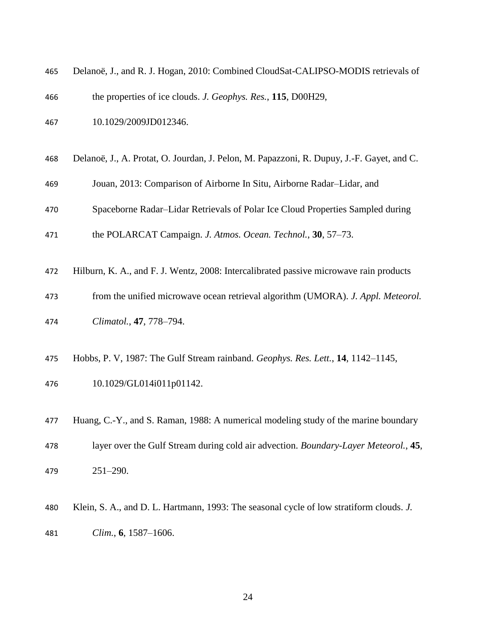| 465 | Delanoë, J., and R. J. Hogan, 2010: Combined CloudSat-CALIPSO-MODIS retrievals of         |
|-----|-------------------------------------------------------------------------------------------|
| 466 | the properties of ice clouds. J. Geophys. Res., 115, D00H29,                              |
| 467 | 10.1029/2009JD012346.                                                                     |
| 468 | Delanoë, J., A. Protat, O. Jourdan, J. Pelon, M. Papazzoni, R. Dupuy, J.-F. Gayet, and C. |
| 469 | Jouan, 2013: Comparison of Airborne In Situ, Airborne Radar-Lidar, and                    |
| 470 | Spaceborne Radar-Lidar Retrievals of Polar Ice Cloud Properties Sampled during            |
| 471 | the POLARCAT Campaign. J. Atmos. Ocean. Technol., 30, 57-73.                              |
| 472 | Hilburn, K. A., and F. J. Wentz, 2008: Intercalibrated passive microwave rain products    |
| 473 | from the unified microwave ocean retrieval algorithm (UMORA). J. Appl. Meteorol.          |
| 474 | Climatol., 47, 778-794.                                                                   |
| 475 | Hobbs, P. V, 1987: The Gulf Stream rainband. Geophys. Res. Lett., 14, 1142-1145,          |
| 476 | 10.1029/GL014i011p01142.                                                                  |
| 477 | Huang, C.-Y., and S. Raman, 1988: A numerical modeling study of the marine boundary       |
| 478 | layer over the Gulf Stream during cold air advection. Boundary-Layer Meteorol., 45,       |
| 479 | $251 - 290.$                                                                              |
| 480 | Klein, S. A., and D. L. Hartmann, 1993: The seasonal cycle of low stratiform clouds. J.   |

*Clim.*, **6**, 1587–1606.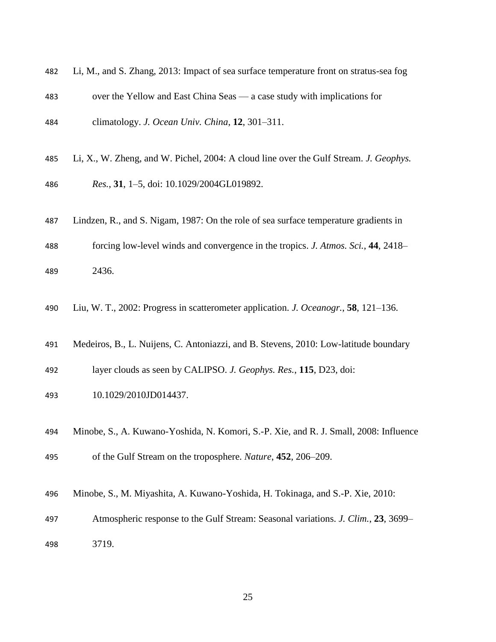| 482 | Li, M., and S. Zhang, 2013: Impact of sea surface temperature front on stratus-sea fog |
|-----|----------------------------------------------------------------------------------------|
| 483 | over the Yellow and East China Seas — a case study with implications for               |
| 484 | climatology. J. Ocean Univ. China, 12, 301-311.                                        |
| 485 | Li, X., W. Zheng, and W. Pichel, 2004: A cloud line over the Gulf Stream. J. Geophys.  |
| 486 | Res., 31, 1-5, doi: 10.1029/2004GL019892.                                              |
| 487 | Lindzen, R., and S. Nigam, 1987: On the role of sea surface temperature gradients in   |
| 488 | forcing low-level winds and convergence in the tropics. J. Atmos. Sci., 44, 2418–      |
| 489 | 2436.                                                                                  |
| 490 | Liu, W. T., 2002: Progress in scatterometer application. J. Oceanogr., 58, 121-136.    |
| 491 | Medeiros, B., L. Nuijens, C. Antoniazzi, and B. Stevens, 2010: Low-latitude boundary   |
| 492 | layer clouds as seen by CALIPSO. J. Geophys. Res., 115, D23, doi:                      |
| 493 | 10.1029/2010JD014437.                                                                  |
| 494 | Minobe, S., A. Kuwano-Yoshida, N. Komori, S.-P. Xie, and R. J. Small, 2008: Influence  |

- of the Gulf Stream on the troposphere. *Nature*, **452**, 206–209.
- Minobe, S., M. Miyashita, A. Kuwano-Yoshida, H. Tokinaga, and S.-P. Xie, 2010:
- Atmospheric response to the Gulf Stream: Seasonal variations. *J. Clim.*, **23**, 3699– 3719.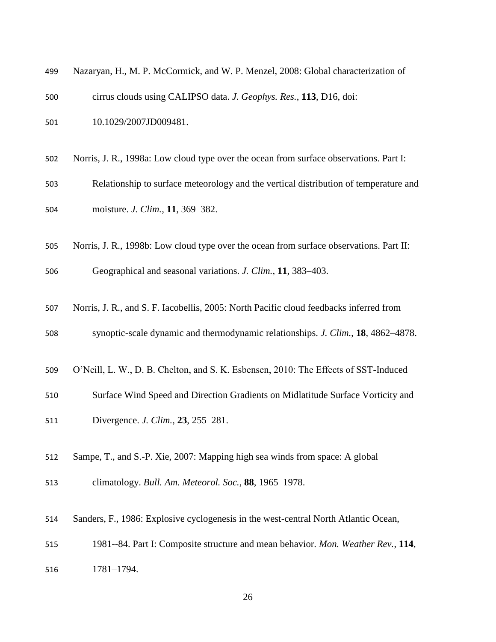| 499 | Nazaryan, H., M. P. McCormick, and W. P. Menzel, 2008: Global characterization of       |
|-----|-----------------------------------------------------------------------------------------|
| 500 | cirrus clouds using CALIPSO data. J. Geophys. Res., 113, D16, doi:                      |
| 501 | 10.1029/2007JD009481.                                                                   |
|     |                                                                                         |
| 502 | Norris, J. R., 1998a: Low cloud type over the ocean from surface observations. Part I:  |
| 503 | Relationship to surface meteorology and the vertical distribution of temperature and    |
| 504 | moisture. J. Clim., 11, 369-382.                                                        |
| 505 | Norris, J. R., 1998b: Low cloud type over the ocean from surface observations. Part II: |
| 506 | Geographical and seasonal variations. J. Clim., 11, 383-403.                            |
| 507 | Norris, J. R., and S. F. Iacobellis, 2005: North Pacific cloud feedbacks inferred from  |
| 508 | synoptic-scale dynamic and thermodynamic relationships. J. Clim., 18, 4862-4878.        |
| 509 | O'Neill, L. W., D. B. Chelton, and S. K. Esbensen, 2010: The Effects of SST-Induced     |
| 510 | Surface Wind Speed and Direction Gradients on Midlatitude Surface Vorticity and         |
| 511 | Divergence. <i>J. Clim.</i> , 23, 255–281.                                              |
| 512 | Sampe, T., and S.-P. Xie, 2007: Mapping high sea winds from space: A global             |
| 513 | climatology. Bull. Am. Meteorol. Soc., 88, 1965-1978.                                   |
| 514 | Sanders, F., 1986: Explosive cyclogenesis in the west-central North Atlantic Ocean,     |
| 515 | 1981--84. Part I: Composite structure and mean behavior. Mon. Weather Rev., 114,        |
| 516 | 1781-1794.                                                                              |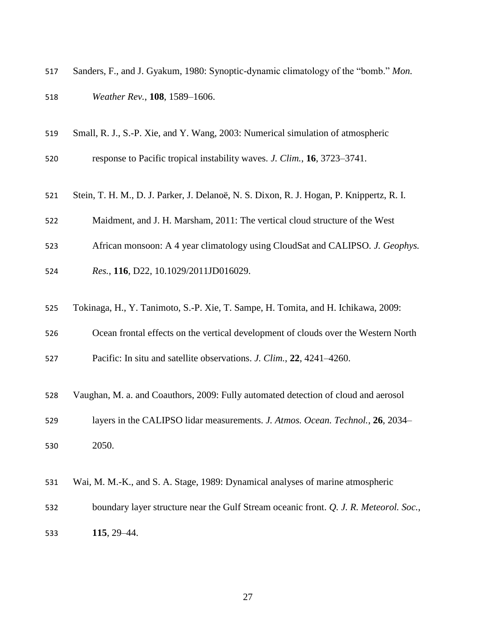| 517 | Sanders, F., and J. Gyakum, 1980: Synoptic-dynamic climatology of the "bomb." Mon. |
|-----|------------------------------------------------------------------------------------|
| 518 | <i>Weather Rev.</i> , <b>108</b> , 1589–1606.                                      |

- Small, R. J., S.-P. Xie, and Y. Wang, 2003: Numerical simulation of atmospheric
- response to Pacific tropical instability waves. *J. Clim.*, **16**, 3723–3741.
- Stein, T. H. M., D. J. Parker, J. Delanoë, N. S. Dixon, R. J. Hogan, P. Knippertz, R. I.
- Maidment, and J. H. Marsham, 2011: The vertical cloud structure of the West
- African monsoon: A 4 year climatology using CloudSat and CALIPSO. *J. Geophys.*
- *Res.*, **116**, D22, 10.1029/2011JD016029.
- Tokinaga, H., Y. Tanimoto, S.-P. Xie, T. Sampe, H. Tomita, and H. Ichikawa, 2009:
- Ocean frontal effects on the vertical development of clouds over the Western North

Pacific: In situ and satellite observations. *J. Clim.*, **22**, 4241–4260.

- Vaughan, M. a. and Coauthors, 2009: Fully automated detection of cloud and aerosol
- layers in the CALIPSO lidar measurements. *J. Atmos. Ocean. Technol.*, **26**, 2034–
- 2050.
- Wai, M. M.-K., and S. A. Stage, 1989: Dynamical analyses of marine atmospheric
- boundary layer structure near the Gulf Stream oceanic front. *Q. J. R. Meteorol. Soc.*, **115**, 29–44.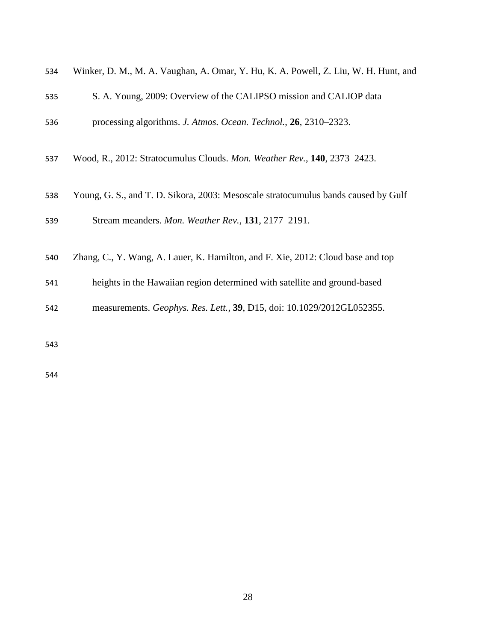| 534 | Winker, D. M., M. A. Vaughan, A. Omar, Y. Hu, K. A. Powell, Z. Liu, W. H. Hunt, and |
|-----|-------------------------------------------------------------------------------------|
| 535 | S. A. Young, 2009: Overview of the CALIPSO mission and CALIOP data                  |
| 536 | processing algorithms. J. Atmos. Ocean. Technol., 26, 2310–2323.                    |
| 537 | Wood, R., 2012: Stratocumulus Clouds. Mon. Weather Rev., 140, 2373-2423.            |
| 538 | Young, G. S., and T. D. Sikora, 2003: Mesoscale stratocumulus bands caused by Gulf  |
| 539 | Stream meanders. Mon. Weather Rev., 131, 2177-2191.                                 |
| 540 | Zhang, C., Y. Wang, A. Lauer, K. Hamilton, and F. Xie, 2012: Cloud base and top     |
| 541 | heights in the Hawaiian region determined with satellite and ground-based           |
| 542 | measurements. Geophys. Res. Lett., 39, D15, doi: 10.1029/2012GL052355.              |
| 543 |                                                                                     |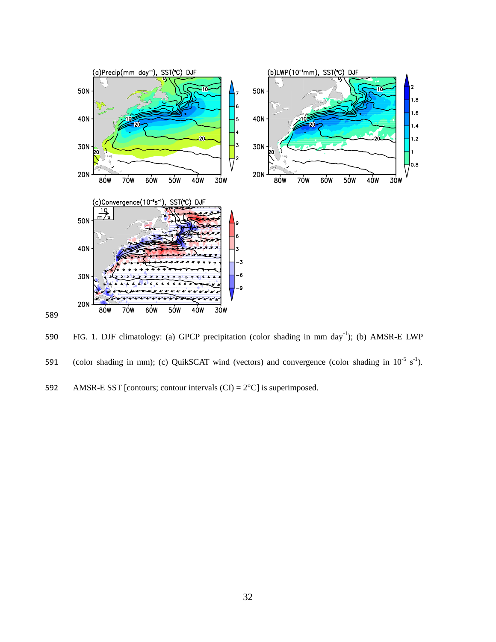

590 FIG. 1. DJF climatology: (a) GPCP precipitation (color shading in mm day<sup>-1</sup>); (b) AMSR-E LWP 591 (color shading in mm); (c) QuikSCAT wind (vectors) and convergence (color shading in  $10^{-5}$  s<sup>-1</sup>). 592 AMSR-E SST [contours; contour intervals  $(CI) = 2^{\circ}C$ ] is superimposed.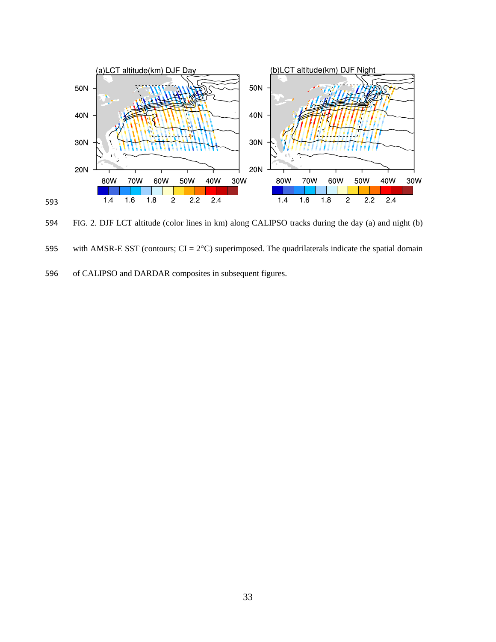

FIG. 2. DJF LCT altitude (color lines in km) along CALIPSO tracks during the day (a) and night (b)

595 with AMSR-E SST (contours;  $CI = 2°C$ ) superimposed. The quadrilaterals indicate the spatial domain

of CALIPSO and DARDAR composites in subsequent figures.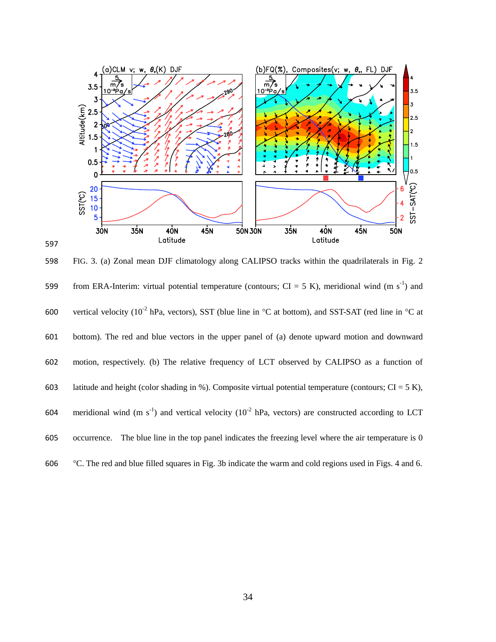

 FIG. 3. (a) Zonal mean DJF climatology along CALIPSO tracks within the quadrilaterals in Fig. 2 599 from ERA-Interim: virtual potential temperature (contours; CI = 5 K), meridional wind (m s<sup>-1</sup>) and 600 vertical velocity ( $10^{-2}$  hPa, vectors), SST (blue line in  $\degree$ C at bottom), and SST-SAT (red line in  $\degree$ C at bottom). The red and blue vectors in the upper panel of (a) denote upward motion and downward motion, respectively. (b) The relative frequency of LCT observed by CALIPSO as a function of 603 latitude and height (color shading in %). Composite virtual potential temperature (contours;  $CI = 5 K$ ), 604 meridional wind (m s<sup>-1</sup>) and vertical velocity ( $10^{-2}$  hPa, vectors) are constructed according to LCT occurrence. The blue line in the top panel indicates the freezing level where the air temperature is 0 C. The red and blue filled squares in Fig. 3b indicate the warm and cold regions used in Figs. 4 and 6.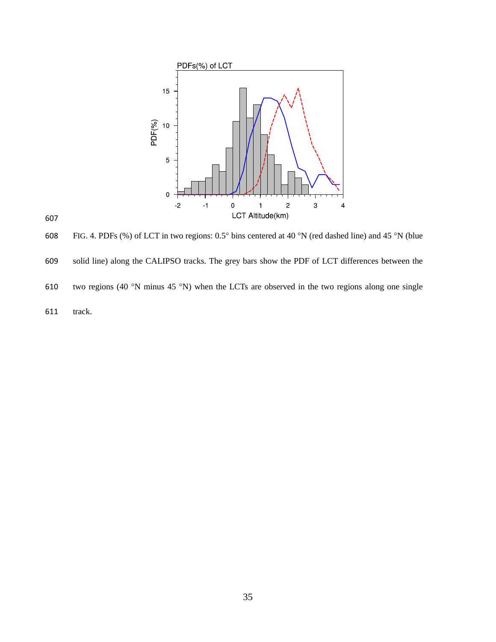

608 FIG. 4. PDFs (%) of LCT in two regions:  $0.5^{\circ}$  bins centered at 40 °N (red dashed line) and 45 °N (blue solid line) along the CALIPSO tracks. The grey bars show the PDF of LCT differences between the 610 two regions (40 °N minus 45 °N) when the LCTs are observed in the two regions along one single track.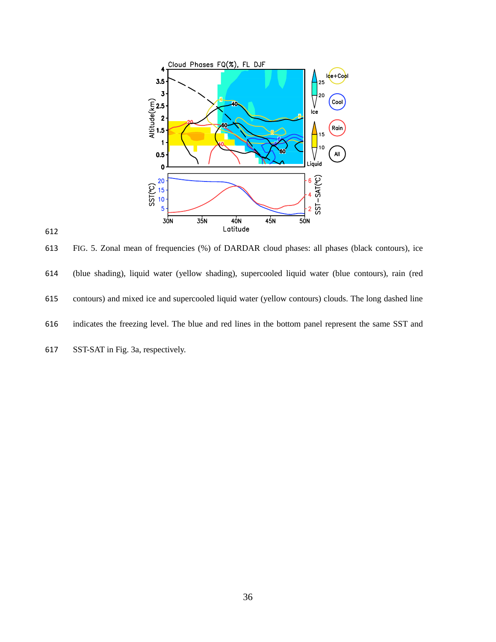

 FIG. 5. Zonal mean of frequencies (%) of DARDAR cloud phases: all phases (black contours), ice (blue shading), liquid water (yellow shading), supercooled liquid water (blue contours), rain (red contours) and mixed ice and supercooled liquid water (yellow contours) clouds. The long dashed line indicates the freezing level. The blue and red lines in the bottom panel represent the same SST and

SST-SAT in Fig. 3a, respectively.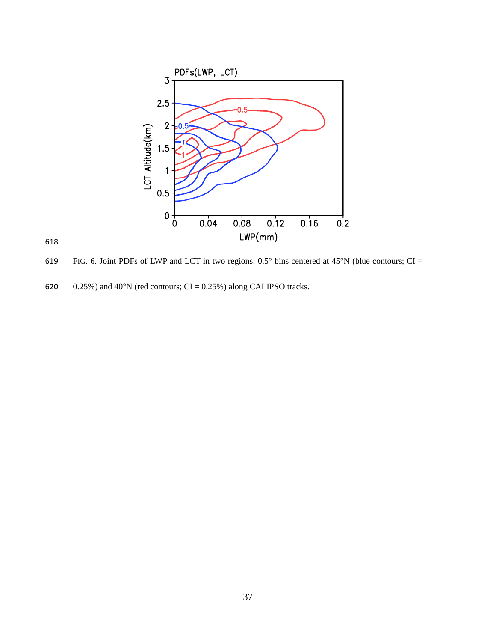

619 FIG. 6. Joint PDFs of LWP and LCT in two regions:  $0.5^{\circ}$  bins centered at 45°N (blue contours; CI =

620  $0.25\%$ ) and 40°N (red contours; CI = 0.25%) along CALIPSO tracks.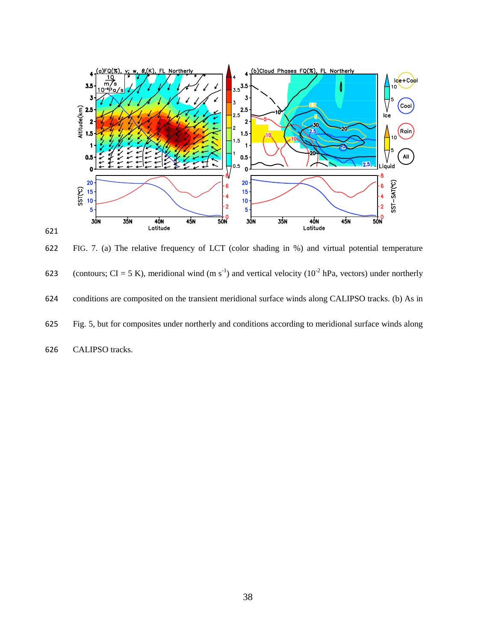

 FIG. 7. (a) The relative frequency of LCT (color shading in %) and virtual potential temperature 623 (contours; CI = 5 K), meridional wind (m s<sup>-1</sup>) and vertical velocity ( $10^{-2}$  hPa, vectors) under northerly conditions are composited on the transient meridional surface winds along CALIPSO tracks. (b) As in Fig. 5, but for composites under northerly and conditions according to meridional surface winds along CALIPSO tracks.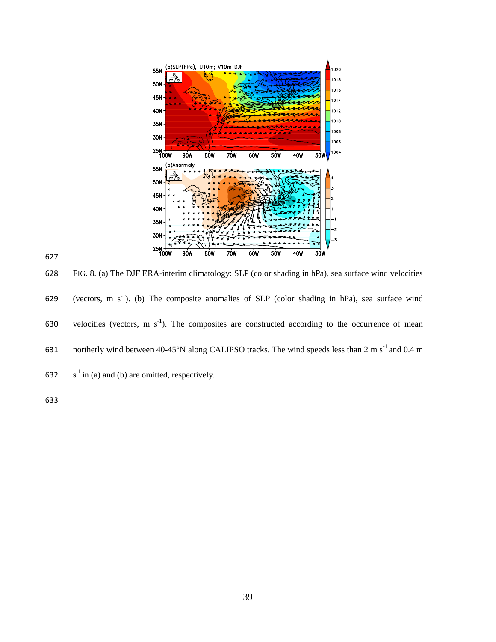

628 FIG. 8. (a) The DJF ERA-interim climatology: SLP (color shading in hPa), sea surface wind velocities 629 (vectors, m  $s^{-1}$ ). (b) The composite anomalies of SLP (color shading in hPa), sea surface wind 630 velocities (vectors, m  $s^{-1}$ ). The composites are constructed according to the occurrence of mean 631 northerly wind between  $40-45^{\circ}N$  along CALIPSO tracks. The wind speeds less than 2 m s<sup>-1</sup> and 0.4 m 632  $s^{-1}$  in (a) and (b) are omitted, respectively.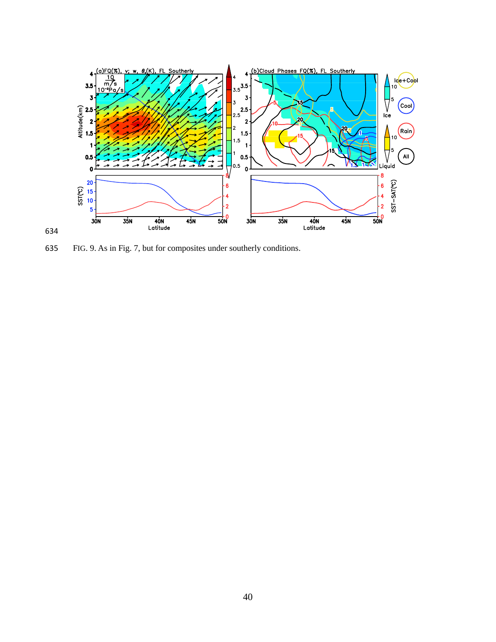

FIG. 9. As in Fig. 7, but for composites under southerly conditions.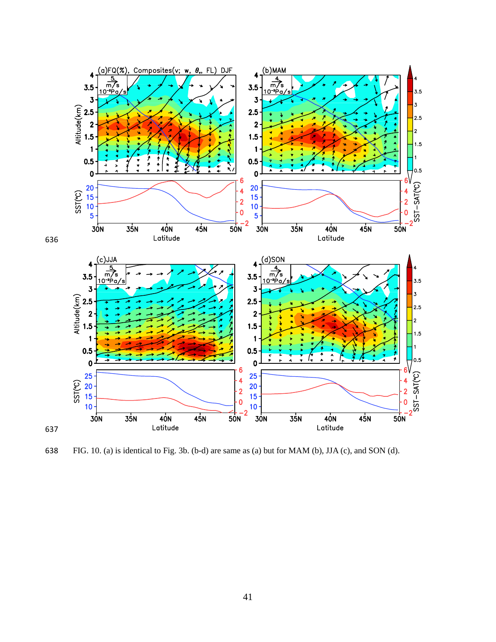

FIG. 10. (a) is identical to Fig. 3b. (b-d) are same as (a) but for MAM (b), JJA (c), and SON (d).